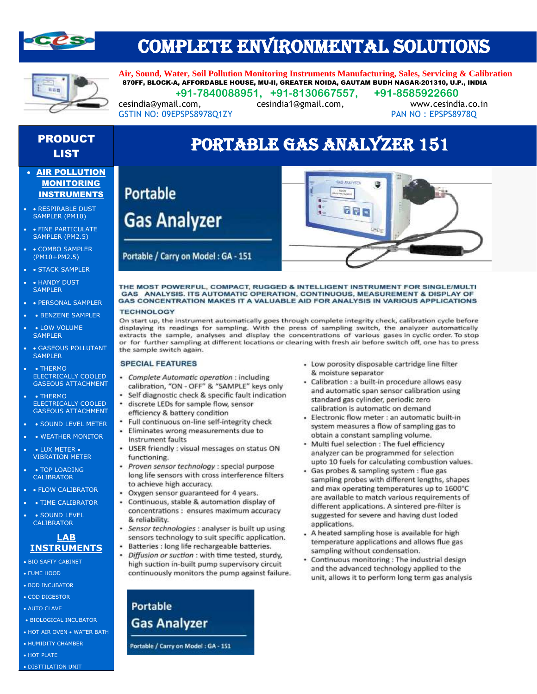

# COMPLETE ENVIRONMENTAL SOLUTIONS



PRODUCT

**Air, Sound, Water, Soil Pollution Monitoring Instruments Manufacturing, Sales, Servicing & Calibration** 870FF, BLOCK-A, AFFORDABLE HOUSE, MU-II, GREATER NOIDA, GAUTAM BUDH NAGAR-201310, U.P., INDIA  **+91-7840088951, +91-8130667557, +91-8585922660**

cesindia@ymail.com, cesindia1@gmail.com, www.cesindia.co.in

### GSTIN NO: 09EPSPS8978Q1ZY PAN NO: EPSPS8978Q

**Portable** 

**Gas Analyzer** 

Portable / Carry on Model : GA - 151

# **ODUCT PORTABLE GAS ANALYZER 151**

- AIR POLLUTION MONITORING INSTRUMENTS
- • RESPIRABLE DUST SAMPLER (PM10)
- FINE PARTICULATE SAMPLER (PM2.5)
- COMBO SAMPLER (PM10+PM2.5)
- STACK SAMPLER
- HANDY DUST **SAMPLER**
- • PERSONAL SAMPLER
- BENZENE SAMPLER
- LOW VOLUME **SAMPLER**
- GASEOUS POLLUTANT **SAMPLER**
- THERMO ELECTRICALLY COOLED GASEOUS ATTACHMENT
- • THERMO ELECTRICALLY COOLED GASEOUS ATTACHMENT
- • SOUND LEVEL METER
- WEATHER MONITOR
- • LUX METER VIBRATION METER
- TOP LOADING CALIBRATOR
- FLOW CALIBRATOR
- TIME CALIBRATOR
- SOUND LEVEL **CALIBRATOR**

#### **LAB INSTRUMENTS**

- BIO SAFTY CABINET
- FUME HOOD
- BOD INCUBATOR
- COD DIGESTOR
- AUTO CLAVE
- BIOLOGICAL INCUBATOR
- HOT AIR OVEN WATER BATH
- HUMIDITY CHAMBER

• DISTTILATION UNIT

• HOT PLATE



#### THE MOST POWERFUL, COMPACT, RUGGED & INTELLIGENT INSTRUMENT FOR SINGLE/MULTI GAS ANALYSIS. ITS AUTOMATIC OPERATION, CONTINUOUS, MEASUREMENT & DISPLAY OF GAS CONCENTRATION MAKES IT A VALUABLE AID FOR ANALYSIS IN VARIOUS APPLICATIONS

#### **TECHNOLOGY**

On start up, the instrument automatically goes through complete integrity check, calibration cycle before displaying its readings for sampling. With the press of sampling switch, the analyzer automatically extracts the sample, analyses and display the concentrations of various gases in cyclic order. To stop or for further sampling at different locations or clearing with fresh air before switch off, one has to press the sample switch again.

#### **SPECIAL FEATURES**

- Complete Automatic operation : including calibration, "ON - OFF" & "SAMPLE" keys only
- · Self diagnostic check & specific fault indication
- · discrete LEDs for sample flow, sensor efficiency & battery condition
- Full continuous on-line self-integrity check
- Eliminates wrong measurements due to Instrument faults
- USER friendly : visual messages on status ON functioning.
- $\ddot{\phantom{a}}$ Proven sensor technology : special purpose long life sensors with cross interference filters to achieve high accuracy.
- Oxygen sensor guaranteed for 4 years.
- Continuous, stable & automation display of concentrations : ensures maximum accuracy & reliability.
- · Sensor technologies : analyser is built up using sensors technology to suit specific application. ٠
	- Batteries : long life rechargeable batteries.
- Diffusion or suction : with time tested, sturdy, high suction in-built pump supervisory circuit continuously monitors the pump against failure.

**Portable Gas Analyzer** 

Portable / Carry on Model : GA - 151

- Low porosity disposable cartridge line filter & moisture separator
- · Calibration : a built-in procedure allows easy and automatic span sensor calibration using standard gas cylinder, periodic zero calibration is automatic on demand
- · Electronic flow meter : an automatic built-in system measures a flow of sampling gas to obtain a constant sampling volume.
- Multi fuel selection : The fuel efficiency analyzer can be programmed for selection upto 10 fuels for calculating combustion values.
- Gas probes & sampling system : flue gas sampling probes with different lengths, shapes and max operating temperatures up to 1600°C are available to match various requirements of different applications. A sintered pre-filter is suggested for severe and having dust loded applications.
- . A heated sampling hose is available for high temperature applications and allows flue gas sampling without condensation.
- Continuous monitoring : The industrial design and the advanced technology applied to the unit, allows it to perform long term gas analysis